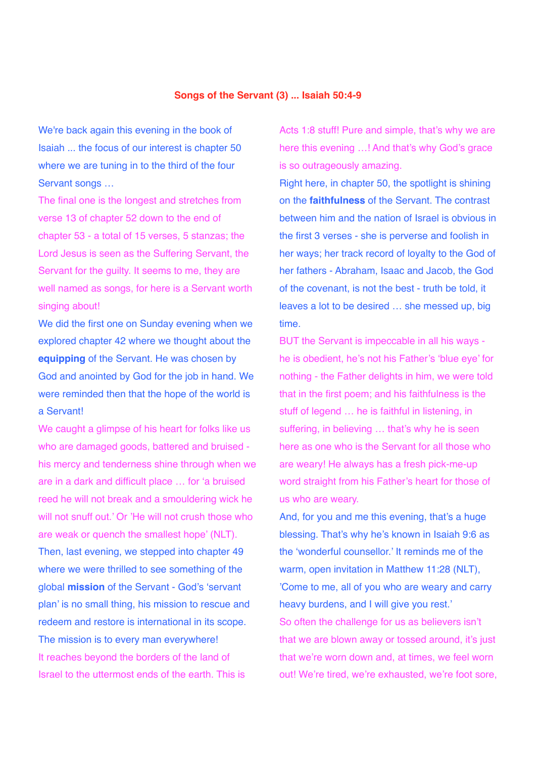## **Songs of the Servant (3) ... Isaiah 50:4-9**

We're back again this evening in the book of Isaiah ... the focus of our interest is chapter 50 where we are tuning in to the third of the four Servant songs ...

The final one is the longest and stretches from verse 13 of chapter 52 down to the end of chapter 53 - a total of 15 verses, 5 stanzas; the Lord Jesus is seen as the Suffering Servant, the Servant for the guilty. It seems to me, they are well named as songs, for here is a Servant worth singing about!

We did the first one on Sunday evening when we explored chapter 42 where we thought about the **equipping** of the Servant. He was chosen by God and anointed by God for the job in hand. We were reminded then that the hope of the world is a Servant!

We caught a glimpse of his heart for folks like us who are damaged goods, battered and bruised his mercy and tenderness shine through when we are in a dark and difficult place … for 'a bruised reed he will not break and a smouldering wick he will not snuff out.' Or 'He will not crush those who are weak or quench the smallest hope' (NLT). Then, last evening, we stepped into chapter 49 where we were thrilled to see something of the global **mission** of the Servant - God's 'servant plan' is no small thing, his mission to rescue and redeem and restore is international in its scope. The mission is to every man everywhere! It reaches beyond the borders of the land of Israel to the uttermost ends of the earth. This is

Acts 1:8 stuff! Pure and simple, that's why we are here this evening …! And that's why God's grace is so outrageously amazing.

Right here, in chapter 50, the spotlight is shining on the **faithfulness** of the Servant. The contrast between him and the nation of Israel is obvious in the first 3 verses - she is perverse and foolish in her ways; her track record of loyalty to the God of her fathers - Abraham, Isaac and Jacob, the God of the covenant, is not the best - truth be told, it leaves a lot to be desired … she messed up, big time.

BUT the Servant is impeccable in all his ways he is obedient, he's not his Father's 'blue eye' for nothing - the Father delights in him, we were told that in the first poem; and his faithfulness is the stuff of legend … he is faithful in listening, in suffering, in believing … that's why he is seen here as one who is the Servant for all those who are weary! He always has a fresh pick-me-up word straight from his Father's heart for those of us who are weary.

And, for you and me this evening, that's a huge blessing. That's why he's known in Isaiah 9:6 as the 'wonderful counsellor.' It reminds me of the warm, open invitation in Matthew 11:28 (NLT), 'Come to me, all of you who are weary and carry heavy burdens, and I will give you rest.' So often the challenge for us as believers isn't that we are blown away or tossed around, it's just that we're worn down and, at times, we feel worn out! We're tired, we're exhausted, we're foot sore,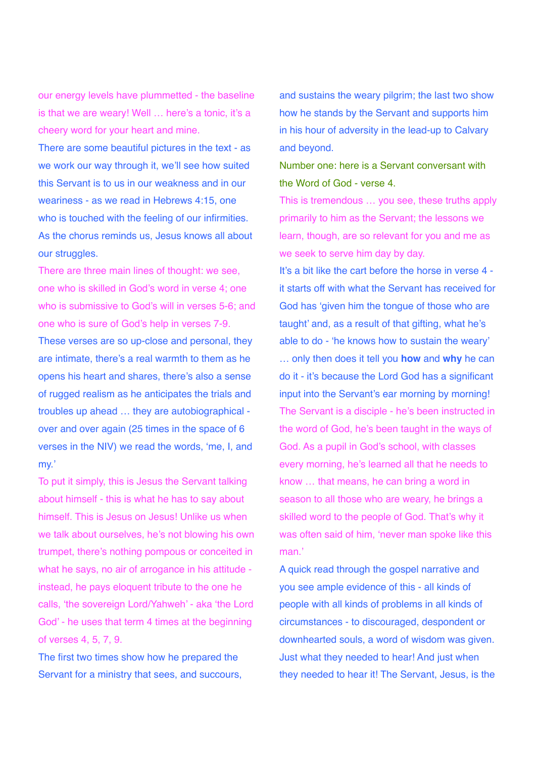our energy levels have plummetted - the baseline is that we are weary! Well ... here's a tonic, it's a cheery word for your heart and mine.

There are some beautiful pictures in the text - as we work our way through it, we'll see how suited this Servant is to us in our weakness and in our weariness - as we read in Hebrews 4:15, one who is touched with the feeling of our infirmities. As the chorus reminds us, Jesus knows all about our struggles.

There are three main lines of thought: we see, one who is skilled in God's word in verse 4; one who is submissive to God's will in verses 5-6; and one who is sure of God's help in verses 7-9.

These verses are so up-close and personal, they are intimate, there's a real warmth to them as he opens his heart and shares, there's also a sense of rugged realism as he anticipates the trials and troubles up ahead … they are autobiographical over and over again (25 times in the space of 6 verses in the NIV) we read the words, 'me, I, and my.'

To put it simply, this is Jesus the Servant talking about himself - this is what he has to say about himself. This is Jesus on Jesus! Unlike us when we talk about ourselves, he's not blowing his own trumpet, there's nothing pompous or conceited in what he says, no air of arrogance in his attitude instead, he pays eloquent tribute to the one he calls, 'the sovereign Lord/Yahweh' - aka 'the Lord God' - he uses that term 4 times at the beginning of verses 4, 5, 7, 9.

The first two times show how he prepared the Servant for a ministry that sees, and succours, and sustains the weary pilgrim; the last two show how he stands by the Servant and supports him in his hour of adversity in the lead-up to Calvary and beyond.

Number one: here is a Servant conversant with the Word of God - verse 4.

This is tremendous … you see, these truths apply primarily to him as the Servant; the lessons we learn, though, are so relevant for you and me as we seek to serve him day by day.

It's a bit like the cart before the horse in verse 4 it starts off with what the Servant has received for God has 'given him the tongue of those who are taught' and, as a result of that gifting, what he's able to do - 'he knows how to sustain the weary' … only then does it tell you **how** and **why** he can do it - it's because the Lord God has a significant input into the Servant's ear morning by morning! The Servant is a disciple - he's been instructed in the word of God, he's been taught in the ways of God. As a pupil in God's school, with classes every morning, he's learned all that he needs to know … that means, he can bring a word in season to all those who are weary, he brings a skilled word to the people of God. That's why it was often said of him, 'never man spoke like this man.'

A quick read through the gospel narrative and you see ample evidence of this - all kinds of people with all kinds of problems in all kinds of circumstances - to discouraged, despondent or downhearted souls, a word of wisdom was given. Just what they needed to hear! And just when they needed to hear it! The Servant, Jesus, is the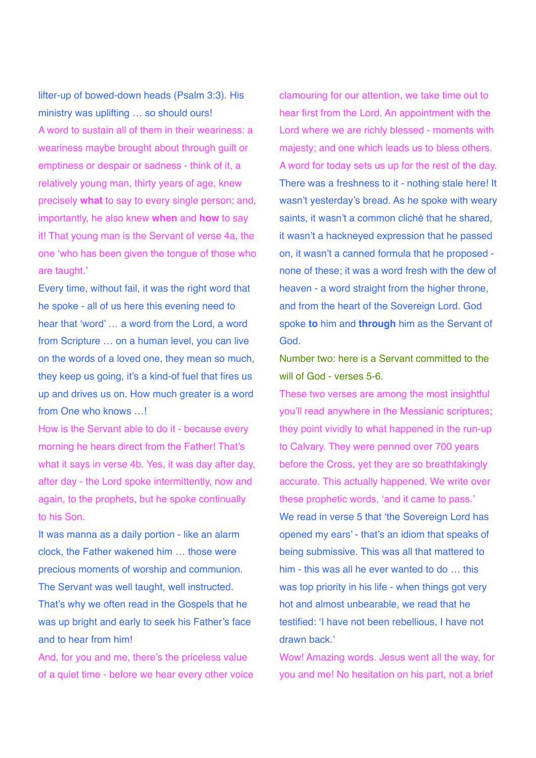lifter-up of bowed-down heads (Psalm 3:3). His ministry was uplifting … so should ours! A word to sustain all of them in their weariness: a weariness maybe brought about through guilt or emptiness or despair or sadness - think of it, a relatively young man, thirty years of age, knew precisely **what** to say to every single person; and, importantly, he also knew **when** and **how** to say it! That young man is the Servant of verse 4a, the one 'who has been given the tongue of those who are taught.'

Every time, without fail, it was the right word that he spoke - all of us here this evening need to hear that 'word' … a word from the Lord, a word from Scripture … on a human level, you can live on the words of a loved one, they mean so much, they keep us going, it's a kind-of fuel that fires us up and drives us on. How much greater is a word from One who knows …!

How is the Servant able to do it - because every morning he hears direct from the Father! That's what it says in verse 4b. Yes, it was day after day, after day - the Lord spoke intermittently, now and again, to the prophets, but he spoke continually to his Son.

It was manna as a daily portion - like an alarm clock, the Father wakened him … those were precious moments of worship and communion. The Servant was well taught, well instructed. That's why we often read in the Gospels that he was up bright and early to seek his Father's face and to hear from him!

And, for you and me, there's the priceless value of a quiet time - before we hear every other voice clamouring for our attention, we take time out to hear first from the Lord. An appointment with the Lord where we are richly blessed - moments with majesty; and one which leads us to bless others. A word for today sets us up for the rest of the day. There was a freshness to it - nothing stale here! It wasn't yesterday's bread. As he spoke with weary saints, it wasn't a common cliché that he shared, it wasn't a hackneyed expression that he passed on, it wasn't a canned formula that he proposed none of these; it was a word fresh with the dew of heaven - a word straight from the higher throne. and from the heart of the Sovereign Lord. God spoke **to** him and **through** him as the Servant of God.

Number two: here is a Servant committed to the will of God - verses 5-6.

These two verses are among the most insightful you'll read anywhere in the Messianic scriptures; they point vividly to what happened in the run-up to Calvary. They were penned over 700 years before the Cross, yet they are so breathtakingly accurate. This actually happened. We write over these prophetic words, 'and it came to pass.' We read in verse 5 that 'the Sovereign Lord has opened my ears' - that's an idiom that speaks of being submissive. This was all that mattered to him - this was all he ever wanted to do … this was top priority in his life - when things got very hot and almost unbearable, we read that he testified: 'I have not been rebellious, I have not drawn back.'

Wow! Amazing words. Jesus went all the way, for you and me! No hesitation on his part, not a brief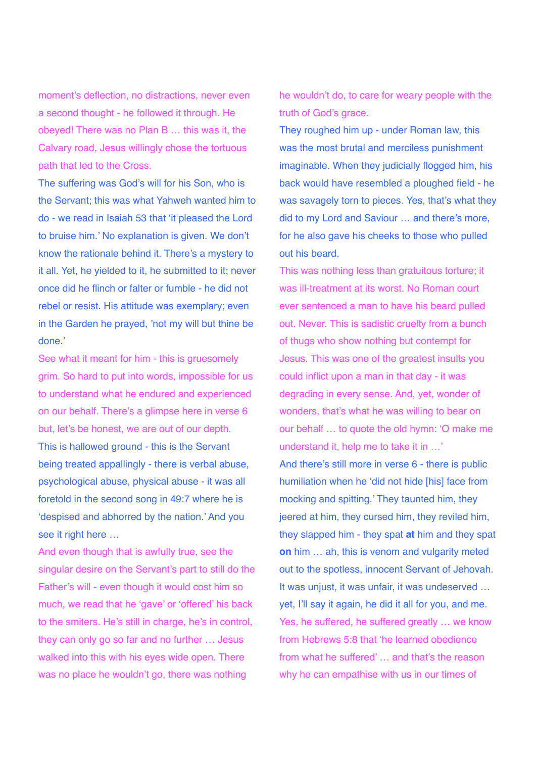moment's deflection, no distractions, never even a second thought - he followed it through. He obeyed! There was no Plan B … this was it, the Calvary road, Jesus willingly chose the tortuous path that led to the Cross.

The suffering was God's will for his Son, who is the Servant; this was what Yahweh wanted him to do - we read in Isaiah 53 that 'it pleased the Lord to bruise him.' No explanation is given. We don't know the rationale behind it. There's a mystery to it all. Yet, he yielded to it, he submitted to it; never once did he flinch or falter or fumble - he did not rebel or resist. His attitude was exemplary; even in the Garden he prayed, 'not my will but thine be done.'

See what it meant for him - this is gruesomely grim. So hard to put into words, impossible for us to understand what he endured and experienced on our behalf. There's a glimpse here in verse 6 but, let's be honest, we are out of our depth. This is hallowed ground - this is the Servant being treated appallingly - there is verbal abuse, psychological abuse, physical abuse - it was all foretold in the second song in 49:7 where he is 'despised and abhorred by the nation.' And you see it right here …

And even though that is awfully true, see the singular desire on the Servant's part to still do the Father's will - even though it would cost him so much, we read that he 'gave' or 'offered' his back to the smiters. He's still in charge, he's in control, they can only go so far and no further … Jesus walked into this with his eyes wide open. There was no place he wouldn't go, there was nothing

he wouldn't do, to care for weary people with the truth of God's grace.

They roughed him up - under Roman law, this was the most brutal and merciless punishment imaginable. When they judicially flogged him, his back would have resembled a ploughed field - he was savagely torn to pieces. Yes, that's what they did to my Lord and Saviour … and there's more, for he also gave his cheeks to those who pulled out his beard.

This was nothing less than gratuitous torture; it was ill-treatment at its worst. No Roman court ever sentenced a man to have his beard pulled out. Never. This is sadistic cruelty from a bunch of thugs who show nothing but contempt for Jesus. This was one of the greatest insults you could inflict upon a man in that day - it was degrading in every sense. And, yet, wonder of wonders, that's what he was willing to bear on our behalf … to quote the old hymn: 'O make me understand it, help me to take it in …'

And there's still more in verse 6 - there is public humiliation when he 'did not hide [his] face from mocking and spitting.' They taunted him, they jeered at him, they cursed him, they reviled him, they slapped him - they spat **at** him and they spat **on** him … ah, this is venom and vulgarity meted out to the spotless, innocent Servant of Jehovah. It was unjust, it was unfair, it was undeserved … yet, I'll say it again, he did it all for you, and me. Yes, he suffered, he suffered greatly … we know from Hebrews 5:8 that 'he learned obedience from what he suffered' … and that's the reason why he can empathise with us in our times of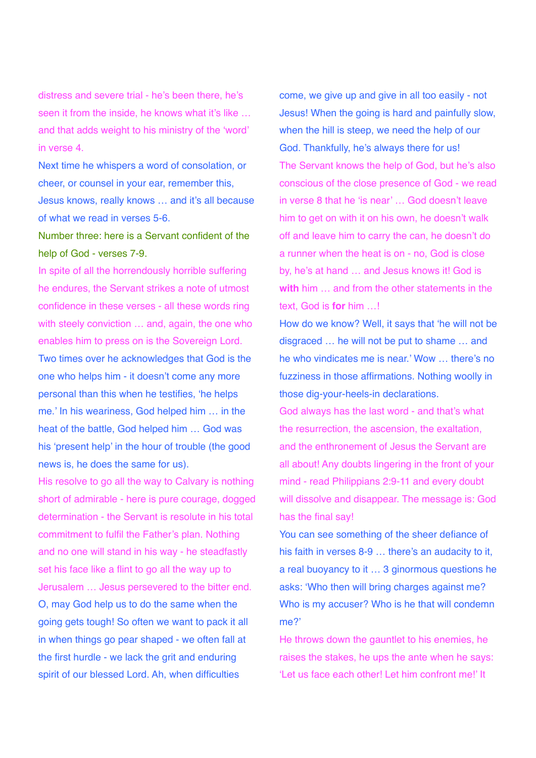distress and severe trial - he's been there, he's seen it from the inside, he knows what it's like ... and that adds weight to his ministry of the 'word' in verse 4.

Next time he whispers a word of consolation, or cheer, or counsel in your ear, remember this, Jesus knows, really knows … and it's all because of what we read in verses 5-6.

## Number three: here is a Servant confident of the help of God - verses 7-9.

In spite of all the horrendously horrible suffering he endures, the Servant strikes a note of utmost confidence in these verses - all these words ring with steely conviction ... and, again, the one who enables him to press on is the Sovereign Lord. Two times over he acknowledges that God is the one who helps him - it doesn't come any more personal than this when he testifies, 'he helps me.' In his weariness, God helped him … in the heat of the battle, God helped him … God was his 'present help' in the hour of trouble (the good news is, he does the same for us).

His resolve to go all the way to Calvary is nothing short of admirable - here is pure courage, dogged determination - the Servant is resolute in his total commitment to fulfil the Father's plan. Nothing and no one will stand in his way - he steadfastly set his face like a flint to go all the way up to Jerusalem … Jesus persevered to the bitter end. O, may God help us to do the same when the going gets tough! So often we want to pack it all in when things go pear shaped - we often fall at the first hurdle - we lack the grit and enduring spirit of our blessed Lord. Ah, when difficulties

come, we give up and give in all too easily - not Jesus! When the going is hard and painfully slow, when the hill is steep, we need the help of our God. Thankfully, he's always there for us! The Servant knows the help of God, but he's also conscious of the close presence of God - we read in verse 8 that he 'is near' … God doesn't leave him to get on with it on his own, he doesn't walk off and leave him to carry the can, he doesn't do a runner when the heat is on - no, God is close by, he's at hand … and Jesus knows it! God is **with** him … and from the other statements in the text, God is **for** him …!

How do we know? Well, it says that 'he will not be disgraced … he will not be put to shame … and he who vindicates me is near.' Wow … there's no fuzziness in those affirmations. Nothing woolly in those dig-your-heels-in declarations.

God always has the last word - and that's what the resurrection, the ascension, the exaltation, and the enthronement of Jesus the Servant are all about! Any doubts lingering in the front of your mind - read Philippians 2:9-11 and every doubt will dissolve and disappear. The message is: God has the final say!

You can see something of the sheer defiance of his faith in verses 8-9 … there's an audacity to it, a real buoyancy to it … 3 ginormous questions he asks: 'Who then will bring charges against me? Who is my accuser? Who is he that will condemn me?'

He throws down the gauntlet to his enemies, he raises the stakes, he ups the ante when he says: 'Let us face each other! Let him confront me!' It